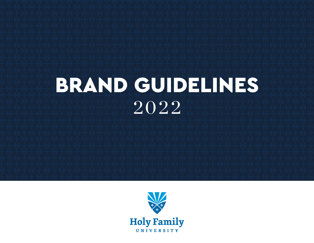# BRAND GUIDELINES 2022

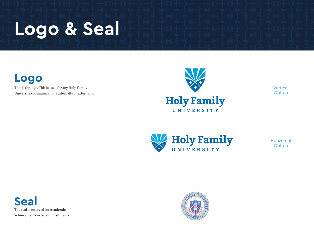

**Logo**

This is the logo. This is used for any Holy Family University communications internally or externally.



Vertical Option



Horizontal **Option** 

**Seal** The seal is reserved for Academic achievements or accomplishments.

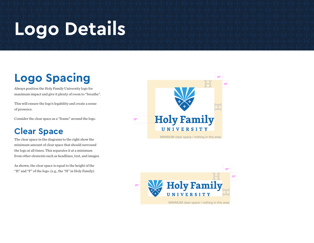### **Logo Details**

### **Logo Spacing**

Always position the Holy Family University logo for maximum impact and give it plenty of room to "breathe".

This will ensure the logo's legability and create a sense of presence.

Consider the clear space as a "frame" around the logo.

#### **Clear Space**

The clear space in the diagrams to the right show the minimum amount of clear space that should surround the logo at all times. This separates it at a minimum from other elements such as headlines, text, and images.

As shown, the clear space is equal to the height of the "H" and "F" of the logo. (e.g., the "H" in Holy Family).



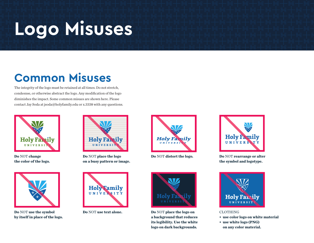## **Logo Misuses**

### **Common Misuses**

The integrity of the logo must be retained at all times. Do not stretch, condesnse, or otherwise abstract the logo. Any modification of the logo diminishes the impact. Some common misues are shown here. Please contact Jay Soda at jsoda@holyfamily.edu or x.3338 with any questions.



**Do** NOT **change the color of the logo.**



**Do** NOT **place the logo on a busy pattern or image.**





**Do** NOT **distort the logo. Do** NOT **rearrange or alter the symbol and logotype.**



**Do** NOT **use the symbol by itself in place of the logo.**





**Do** NOT **use text alone. Do** NOT **place the logo on a background that reduces its legibility. Use the white logo on dark backgrounds.**



#### CLOTHING

- **use color logo on white material**
- **use white logo (PNG) on any color material.**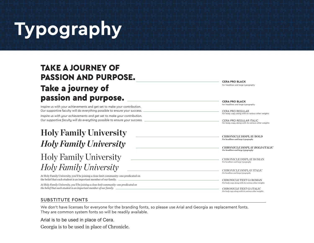# **Typography**

#### TAKE A JOURNEY OF PASSION AND PURPOSE. Take a journey of passion and purpose.

Inspire us with your achievements and get set to make your contribution. Our supportive faculty will do everything possible to ensure your success. *Inspire us with your achievements and get set to make your contribution. Our supportive faculty will do everything possible to ensure your success.*

#### *Holy Family University* **Holy Family University**

#### *Holy Family University* Holy Family University

At Holy Family University, you'll be joining a close-knit community–one predicated on the belief that each student is an important member of our family.

*At Holy Family University, you'll be joining a close-knit community–one predicated on the belief that each student is an important member of our family.*

For headlines and large typography **CERA PRO BLACK**

For headlines and large typography **CERA PRO BLACK**

For body copy along with its various other weights CERA PRO REGULAR

*For body copy along with its various other weights CERA PRO REGULAR ITALIC*

**For headlines and large typography CHRONICLE DISPLAY BOLD**

*For headlines and large typography CHRONICLE DISPLAY BOLD ITALIC*

For headlines and large typography CHRONICLE DISPLAY ROMAN

*For headlines and large typography CHRONICLE DISPLAY ITALIC*

For body copy along with its various other weights CHRONICLE TEXT G1 ROMAN

*For body copy along with its various other weights CHRONICLE TEXT G1 ITALIC*

#### SUBSTITUTE FONTS

We don't have licenses for everyone for the branding fonts, so please use Arial and Georgia as replacement fonts. They are common system fonts so will be readily available.

Arial is to be used in place of Cera.

Georgia is to be used in place of Chronicle.